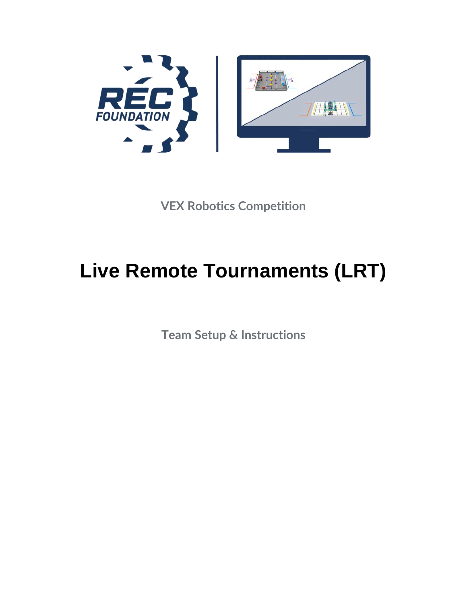

**VEX Robotics Competition**

# **Live Remote Tournaments (LRT)**

**Team Setup & Instructions**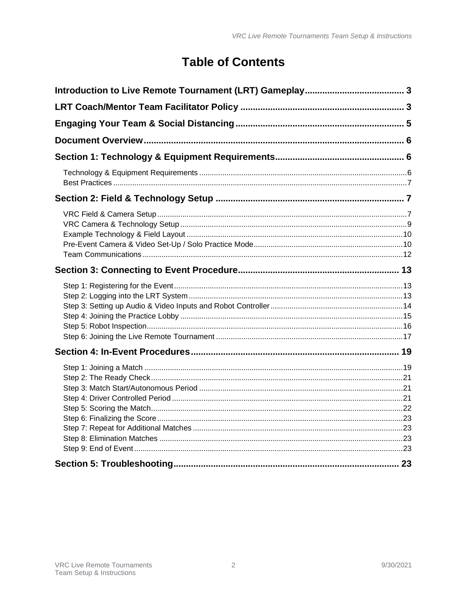# **Table of Contents**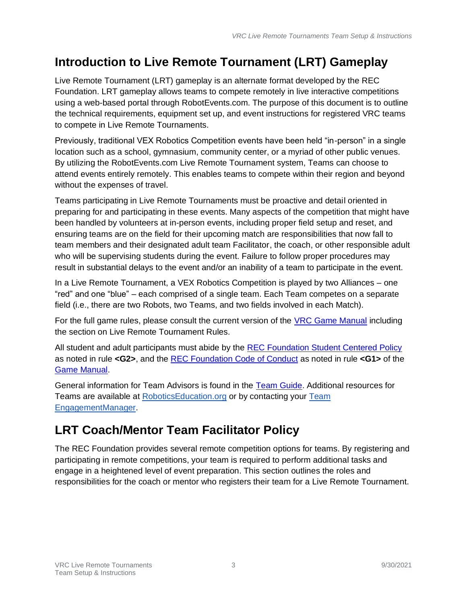# <span id="page-2-0"></span>**Introduction to Live Remote Tournament (LRT) Gameplay**

Live Remote Tournament (LRT) gameplay is an alternate format developed by the REC Foundation. LRT gameplay allows teams to compete remotely in live interactive competitions using a web-based portal through RobotEvents.com. The purpose of this document is to outline the technical requirements, equipment set up, and event instructions for registered VRC teams to compete in Live Remote Tournaments.

Previously, traditional VEX Robotics Competition events have been held "in-person" in a single location such as a school, gymnasium, community center, or a myriad of other public venues. By utilizing the RobotEvents.com Live Remote Tournament system, Teams can choose to attend events entirely remotely. This enables teams to compete within their region and beyond without the expenses of travel.

Teams participating in Live Remote Tournaments must be proactive and detail oriented in preparing for and participating in these events. Many aspects of the competition that might have been handled by volunteers at in-person events, including proper field setup and reset, and ensuring teams are on the field for their upcoming match are responsibilities that now fall to team members and their designated adult team Facilitator, the coach, or other responsible adult who will be supervising students during the event. Failure to follow proper procedures may result in substantial delays to the event and/or an inability of a team to participate in the event.

In a Live Remote Tournament, a VEX Robotics Competition is played by two Alliances – one "red" and one "blue" – each comprised of a single team. Each Team competes on a separate field (i.e., there are two Robots, two Teams, and two fields involved in each Match).

For the full game rules, please consult the current version of the [VRC Game Manual](https://content.vexrobotics.com/docs/vrc-change-up/Game-Manual-12012020.pdf) including the section on Live Remote Tournament Rules.

All student and adult participants must abide by the [REC Foundation Student Centered Policy](https://www.roboticseducation.org/documents/2019/08/student-centered-policy-rec-foundation.pdf/) as noted in rule **<G2>**, and the [REC Foundation Code of Conduct](https://www.roboticseducation.org/documents/2019/08/recf-code-of-conduct.pdf/) as noted in rule **<G1>** of the [Game Manual.](https://content.vexrobotics.com/docs/vrc-change-up/Game-Manual-12012020.pdf)

General information for Team Advisors is found in the [Team Guide.](https://www.roboticseducation.org/documents/2020/07/recf-team-guide.pdf/) Additional resources for Teams are available at [RoboticsEducation.org](https://www.roboticseducation.org/resources_library/event-partner-guide/) or by contacting your [Team](https://www.robotevents.com/support)  [EngagementManager.](https://www.robotevents.com/support)

# <span id="page-2-1"></span>**LRT Coach/Mentor Team Facilitator Policy**

The REC Foundation provides several remote competition options for teams. By registering and participating in remote competitions, your team is required to perform additional tasks and engage in a heightened level of event preparation. This section outlines the roles and responsibilities for the coach or mentor who registers their team for a Live Remote Tournament.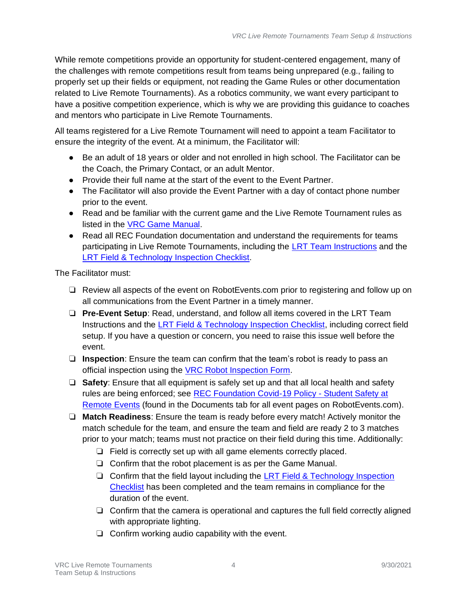While remote competitions provide an opportunity for student-centered engagement, many of the challenges with remote competitions result from teams being unprepared (e.g., failing to properly set up their fields or equipment, not reading the Game Rules or other documentation related to Live Remote Tournaments). As a robotics community, we want every participant to have a positive competition experience, which is why we are providing this guidance to coaches and mentors who participate in Live Remote Tournaments.

All teams registered for a Live Remote Tournament will need to appoint a team Facilitator to ensure the integrity of the event. At a minimum, the Facilitator will:

- Be an adult of 18 years or older and not enrolled in high school. The Facilitator can be the Coach, the Primary Contact, or an adult Mentor.
- Provide their full name at the start of the event to the Event Partner.
- The Facilitator will also provide the Event Partner with a day of contact phone number prior to the event.
- Read and be familiar with the current game and the Live Remote Tournament rules as listed in the [VRC Game Manual.](https://content.vexrobotics.com/docs/vrc-change-up/Game-Manual-12012020.pdf)
- Read all REC Foundation documentation and understand the requirements for teams participating in Live Remote Tournaments, including the [LRT Team Instructions](https://www.roboticseducation.org/documents/2021/01/vrc-lrt-team-set-up-and-instructions.pdf) and the [LRT Field & Technology](https://www.roboticseducation.org/documents/2021/01/vrc-lrt-field-inspection-checklist.pdf) Inspection Checklist.

The Facilitator must:

- ❏ Review all aspects of the event on RobotEvents.com prior to registering and follow up on all communications from the Event Partner in a timely manner.
- ❏ **Pre-Event Setup**: Read, understand, and follow all items covered in the LRT Team Instructions and the [LRT Field & Technology Inspection Checklist,](https://www.roboticseducation.org/documents/2021/01/vrc-lrt-field-inspection-checklist.pdf) including correct field setup. If you have a question or concern, you need to raise this issue well before the event.
- ❏ **Inspection**: Ensure the team can confirm that the team's robot is ready to pass an official inspection using the VRC Robot [Inspection Form.](https://www.roboticseducation.org/documents/2019/05/vrc-robot-inspection-checklist.pdf/)
- ❏ **Safety**: Ensure that all equipment is safely set up and that all local health and safety rules are being enforced; see [REC Foundation Covid-19 Policy -](https://www.roboticseducation.org/documents/2021/01/rec-foundation-general-covid-19-policy.pdf) Student Safety at [Remote Events](https://www.roboticseducation.org/documents/2021/01/rec-foundation-general-covid-19-policy.pdf) (found in the Documents tab for all event pages on RobotEvents.com).
- ❏ **Match Readiness**: Ensure the team is ready before every match! Actively monitor the match schedule for the team, and ensure the team and field are ready 2 to 3 matches prior to your match; teams must not practice on their field during this time. Additionally:
	- ❏ Field is correctly set up with all game elements correctly placed.
	- ❏ Confirm that the robot placement is as per the Game Manual.
	- ❏ Confirm that the field layout including the [LRT Field & Technology Inspection](https://www.roboticseducation.org/documents/2021/01/vrc-lrt-field-inspection-checklist.pdf)  [Checklist](https://www.roboticseducation.org/documents/2021/01/vrc-lrt-field-inspection-checklist.pdf) has been completed and the team remains in compliance for the duration of the event.
	- ❏ Confirm that the camera is operational and captures the full field correctly aligned with appropriate lighting.
	- ❏ Confirm working audio capability with the event.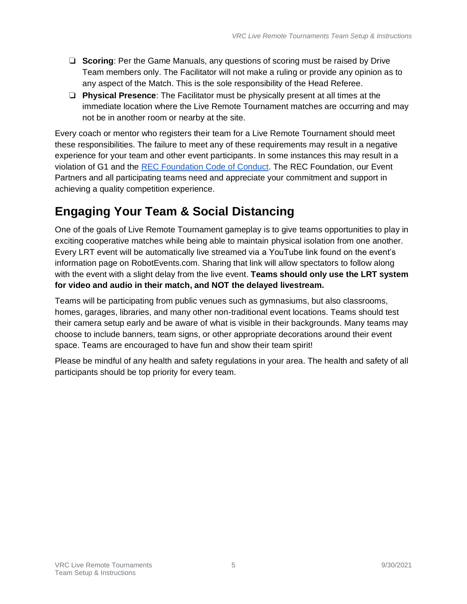- ❏ **Scoring**: Per the Game Manuals, any questions of scoring must be raised by Drive Team members only. The Facilitator will not make a ruling or provide any opinion as to any aspect of the Match. This is the sole responsibility of the Head Referee.
- ❏ **Physical Presence**: The Facilitator must be physically present at all times at the immediate location where the Live Remote Tournament matches are occurring and may not be in another room or nearby at the site.

Every coach or mentor who registers their team for a Live Remote Tournament should meet these responsibilities. The failure to meet any of these requirements may result in a negative experience for your team and other event participants. In some instances this may result in a violation of G1 and the [REC Foundation Code of Conduct.](https://www.roboticseducation.org/documents/2019/08/recf-code-of-conduct.pdf/) The REC Foundation, our Event Partners and all participating teams need and appreciate your commitment and support in achieving a quality competition experience.

# <span id="page-4-0"></span>**Engaging Your Team & Social Distancing**

One of the goals of Live Remote Tournament gameplay is to give teams opportunities to play in exciting cooperative matches while being able to maintain physical isolation from one another. Every LRT event will be automatically live streamed via a YouTube link found on the event's information page on RobotEvents.com. Sharing that link will allow spectators to follow along with the event with a slight delay from the live event. **Teams should only use the LRT system for video and audio in their match, and NOT the delayed livestream.**

Teams will be participating from public venues such as gymnasiums, but also classrooms, homes, garages, libraries, and many other non-traditional event locations. Teams should test their camera setup early and be aware of what is visible in their backgrounds. Many teams may choose to include banners, team signs, or other appropriate decorations around their event space. Teams are encouraged to have fun and show their team spirit!

Please be mindful of any health and safety regulations in your area. The health and safety of all participants should be top priority for every team.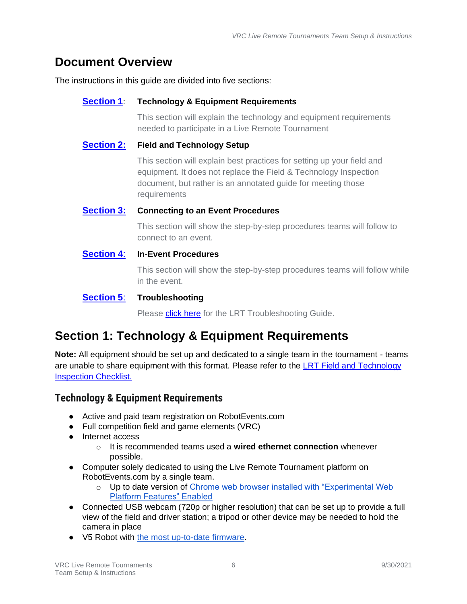## <span id="page-5-0"></span>**Document Overview**

The instructions in this guide are divided into five sections:

#### **[Section 1](#page-5-1)**: **Technology & Equipment Requirements**

This section will explain the technology and equipment requirements needed to participate in a Live Remote Tournament

#### **[Section 2:](#page-6-1) Field and Technology Setup**

This section will explain best practices for setting up your field and equipment. It does not replace the Field & Technology Inspection document, but rather is an annotated guide for meeting those requirements

#### **[Section 3:](#page-12-0) Connecting to an Event Procedures**

This section will show the step-by-step procedures teams will follow to connect to an event.

#### **[Section 4](#page-18-0)**: **In-Event Procedures**

This section will show the step-by-step procedures teams will follow while in the event.

#### **[Section 5](#page-22-5)**: **Troubleshooting**

Please **[click here](https://www.roboticseducation.org/documents/2021/04/lrt-troubleshooting-guide.pdf)** for the LRT Troubleshooting Guide.

## <span id="page-5-1"></span>**Section 1: Technology & Equipment Requirements**

**Note:** All equipment should be set up and dedicated to a single team in the tournament - teams are unable to share equipment with this format. Please refer to the [LRT Field and Technology](https://www.roboticseducation.org/documents/2021/01/vrc-lrt-field-and-technology-inspection-checklist.pdf/) [Inspection](https://www.roboticseducation.org/documents/2021/01/vrc-lrt-field-and-technology-inspection-checklist.pdf/) Checklist.

#### <span id="page-5-2"></span>**Technology & Equipment Requirements**

- Active and paid team registration on RobotEvents.com
- Full competition field and game elements (VRC)
- Internet access
	- o It is recommended teams used a **wired ethernet connection** whenever possible.
- Computer solely dedicated to using the Live Remote Tournament platform on RobotEvents.com by a single team.
	- o Up to date version of Chrome web browser installed with "Experimental Web Platform Features" Enabled
- Connected USB webcam (720p or higher resolution) that can be set up to provide a full view of the field and driver station; a tripod or other device may be needed to hold the camera in place
- V5 Robot with [the most up-to-date](https://www.vexrobotics.com/v5/products/firmware) firmware.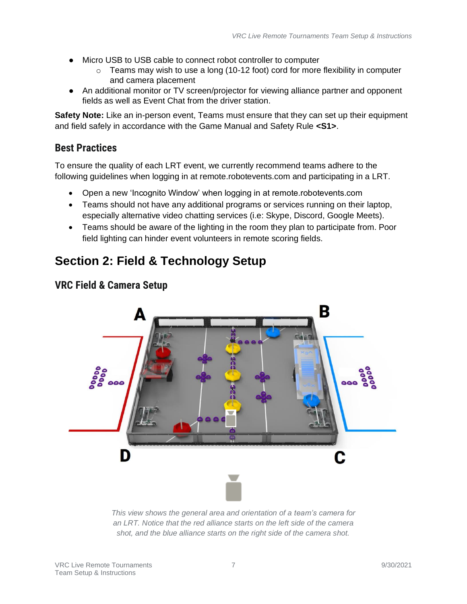- Micro USB to USB cable to connect robot controller to computer
	- $\circ$  Teams may wish to use a long (10-12 foot) cord for more flexibility in computer and camera placement
- An additional monitor or TV screen/projector for viewing alliance partner and opponent fields as well as Event Chat from the driver station.

**Safety Note:** Like an in-person event, Teams must ensure that they can set up their equipment and field safely in accordance with the Game Manual and Safety Rule **<S1>**.

#### <span id="page-6-0"></span>**Best Practices**

To ensure the quality of each LRT event, we currently recommend teams adhere to the following guidelines when logging in at remote.robotevents.com and participating in a LRT.

- Open a new 'Incognito Window' when logging in at remote.robotevents.com
- Teams should not have any additional programs or services running on their laptop, especially alternative video chatting services (i.e: Skype, Discord, Google Meets).
- Teams should be aware of the lighting in the room they plan to participate from. Poor field lighting can hinder event volunteers in remote scoring fields.

## <span id="page-6-1"></span>**Section 2: Field & Technology Setup**



#### <span id="page-6-2"></span>**VRC Field & Camera Setup**

*This view shows the general area and orientation of a team's camera for an LRT. Notice that the red alliance starts on the left side of the camera shot, and the blue alliance starts on the right side of the camera shot.*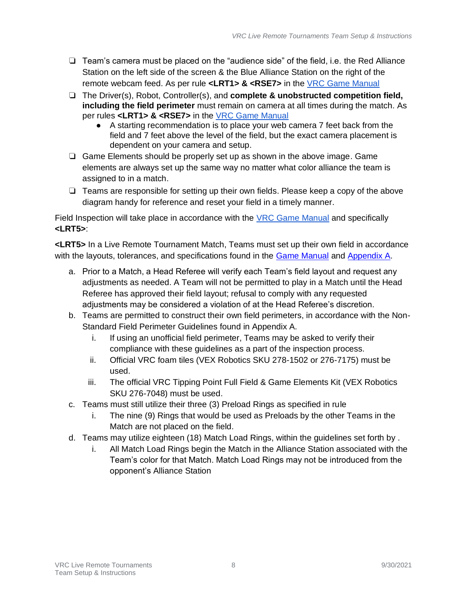- ❏ Team's camera must be placed on the "audience side" of the field, i.e. the Red Alliance Station on the left side of the screen & the Blue Alliance Station on the right of the remote webcam feed. As per rule **<LRT1> & <RSE7>** in the [VRC Game Manual](https://content.vexrobotics.com/docs/vrc-change-up/Game-Manual-12012020.pdf)
- ❏ The Driver(s), Robot, Controller(s), and **complete & unobstructed competition field, including the field perimeter** must remain on camera at all times during the match. As per rules **<LRT1> & <RSE7>** in the [VRC Game Manual](https://content.vexrobotics.com/docs/vrc-change-up/Game-Manual-12012020.pdf)
	- A starting recommendation is to place your web camera 7 feet back from the field and 7 feet above the level of the field, but the exact camera placement is dependent on your camera and setup.
- ❏ Game Elements should be properly set up as shown in the above image. Game elements are always set up the same way no matter what color alliance the team is assigned to in a match.
- ❏ Teams are responsible for setting up their own fields. Please keep a copy of the above diagram handy for reference and reset your field in a timely manner.

Field Inspection will take place in accordance with the [VRC Game Manual](https://content.vexrobotics.com/docs/vrc-change-up/Game-Manual-12012020.pdf) and specifically **<LRT5>**:

**<LRT5>** In a Live Remote Tournament Match, Teams must set up their own field in accordance with the layouts, tolerances, and specifications found in the [Game Manual](https://content.vexrobotics.com/docs/vrc-change-up/Game-Manual-12012020.pdf) and [Appendix A.](https://content.vexrobotics.com/docs/vrc-change-up/AppendixA-10012020.pdf)

- a. Prior to a Match, a Head Referee will verify each Team's field layout and request any adjustments as needed. A Team will not be permitted to play in a Match until the Head Referee has approved their field layout; refusal to comply with any requested adjustments may be considered a violation of at the Head Referee's discretion.
- b. Teams are permitted to construct their own field perimeters, in accordance with the Non-Standard Field Perimeter Guidelines found in Appendix A.
	- i. If using an unofficial field perimeter, Teams may be asked to verify their compliance with these guidelines as a part of the inspection process.
	- ii. Official VRC foam tiles (VEX Robotics SKU 278-1502 or 276-7175) must be used.
	- iii. The official VRC Tipping Point Full Field & Game Elements Kit (VEX Robotics SKU 276-7048) must be used.
- c. Teams must still utilize their three (3) Preload Rings as specified in rule
	- i. The nine (9) Rings that would be used as Preloads by the other Teams in the Match are not placed on the field.
- d. Teams may utilize eighteen (18) Match Load Rings, within the guidelines set forth by .
	- i. All Match Load Rings begin the Match in the Alliance Station associated with the Team's color for that Match. Match Load Rings may not be introduced from the opponent's Alliance Station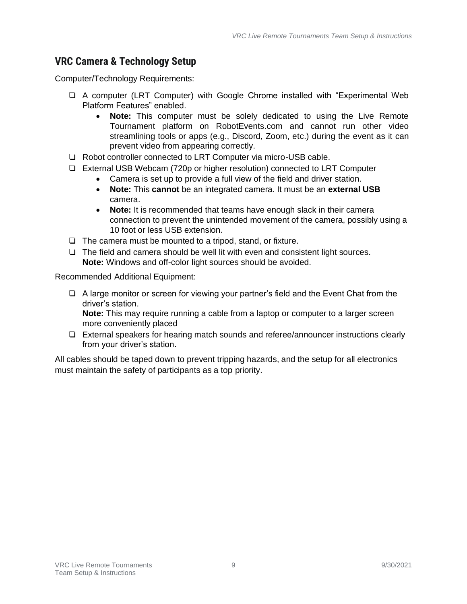#### <span id="page-8-0"></span>**VRC Camera & Technology Setup**

Computer/Technology Requirements:

- ❏ A computer (LRT Computer) with Google Chrome installed with "Experimental Web Platform Features" enabled.
	- **Note:** This computer must be solely dedicated to using the Live Remote Tournament platform on RobotEvents.com and cannot run other video streamlining tools or apps (e.g., Discord, Zoom, etc.) during the event as it can prevent video from appearing correctly.
- ❏ Robot controller connected to LRT Computer via micro-USB cable.
- ❏ External USB Webcam (720p or higher resolution) connected to LRT Computer
	- Camera is set up to provide a full view of the field and driver station.
	- **Note:** This **cannot** be an integrated camera. It must be an **external USB**  camera.
	- **Note:** It is recommended that teams have enough slack in their camera connection to prevent the unintended movement of the camera, possibly using a 10 foot or less USB extension.
- ❏ The camera must be mounted to a tripod, stand, or fixture.
- ❏ The field and camera should be well lit with even and consistent light sources. **Note:** Windows and off-color light sources should be avoided.

Recommended Additional Equipment:

❏ A large monitor or screen for viewing your partner's field and the Event Chat from the driver's station.

**Note:** This may require running a cable from a laptop or computer to a larger screen more conveniently placed

❏ External speakers for hearing match sounds and referee/announcer instructions clearly from your driver's station.

All cables should be taped down to prevent tripping hazards, and the setup for all electronics must maintain the safety of participants as a top priority.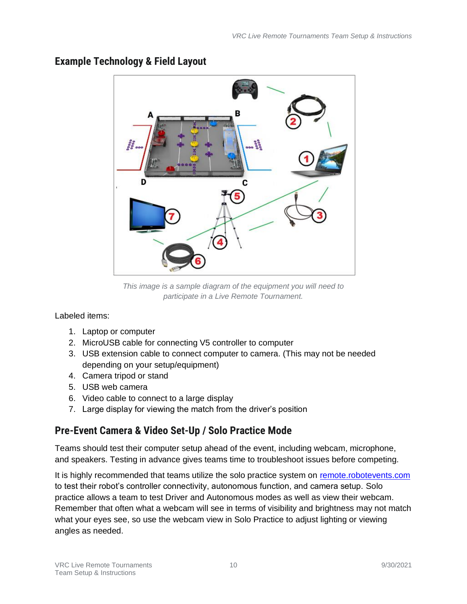

#### <span id="page-9-0"></span>**Example Technology & Field Layout**

*This image is a sample diagram of the equipment you will need to participate in a Live Remote Tournament.*

Labeled items:

- 1. Laptop or computer
- 2. MicroUSB cable for connecting V5 controller to computer
- 3. USB extension cable to connect computer to camera. (This may not be needed depending on your setup/equipment)
- 4. Camera tripod or stand
- 5. USB web camera
- 6. Video cable to connect to a large display
- 7. Large display for viewing the match from the driver's position

## <span id="page-9-1"></span>**Pre-Event Camera & Video Set-Up / Solo Practice Mode**

Teams should test their computer setup ahead of the event, including webcam, microphone, and speakers. Testing in advance gives teams time to troubleshoot issues before competing.

It is highly recommended that teams utilize the solo practice system on [remote.robotevents.com](https://remote.robotevents.com/#/) to test their robot's controller connectivity, autonomous function, and camera setup. Solo practice allows a team to test Driver and Autonomous modes as well as view their webcam. Remember that often what a webcam will see in terms of visibility and brightness may not match what your eyes see, so use the webcam view in Solo Practice to adjust lighting or viewing angles as needed.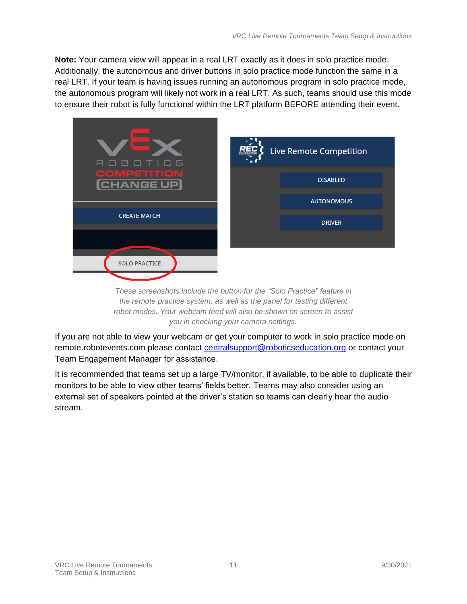**Note:** Your camera view will appear in a real LRT exactly as it does in solo practice mode. Additionally, the autonomous and driver buttons in solo practice mode function the same in a real LRT. If your team is having issues running an autonomous program in solo practice mode, the autonomous program will likely not work in a real LRT. As such, teams should use this mode to ensure their robot is fully functional within the LRT platform BEFORE attending their event.



*These screenshots include the button for the "Solo Practice" feature in the remote practice system, as well as the panel for testing different robot modes. Your webcam feed will also be shown on screen to assist you in checking your camera settings.*

If you are not able to view your webcam or get your computer to work in solo practice mode on remote.robotevents.com please contact [centralsupport@roboticseducation.org](mailto:centralsupport@roboticseducation.org) or contact your Team Engagement Manager for assistance.

It is recommended that teams set up a large TV/monitor, if available, to be able to duplicate their monitors to be able to view other teams' fields better. Teams may also consider using an external set of speakers pointed at the driver's station so teams can clearly hear the audio stream.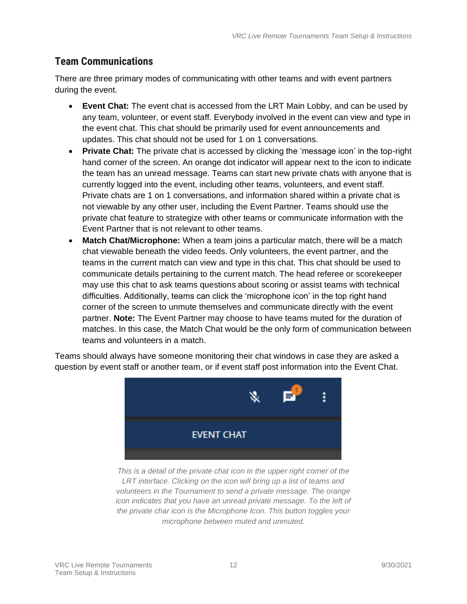#### <span id="page-11-0"></span>**Team Communications**

There are three primary modes of communicating with other teams and with event partners during the event.

- **Event Chat:** The event chat is accessed from the LRT Main Lobby, and can be used by any team, volunteer, or event staff. Everybody involved in the event can view and type in the event chat. This chat should be primarily used for event announcements and updates. This chat should not be used for 1 on 1 conversations.
- **Private Chat:** The private chat is accessed by clicking the 'message icon' in the top-right hand corner of the screen. An orange dot indicator will appear next to the icon to indicate the team has an unread message. Teams can start new private chats with anyone that is currently logged into the event, including other teams, volunteers, and event staff. Private chats are 1 on 1 conversations, and information shared within a private chat is not viewable by any other user, including the Event Partner. Teams should use the private chat feature to strategize with other teams or communicate information with the Event Partner that is not relevant to other teams.
- **Match Chat/Microphone:** When a team joins a particular match, there will be a match chat viewable beneath the video feeds. Only volunteers, the event partner, and the teams in the current match can view and type in this chat. This chat should be used to communicate details pertaining to the current match. The head referee or scorekeeper may use this chat to ask teams questions about scoring or assist teams with technical difficulties. Additionally, teams can click the 'microphone icon' in the top right hand corner of the screen to unmute themselves and communicate directly with the event partner. **Note:** The Event Partner may choose to have teams muted for the duration of matches. In this case, the Match Chat would be the only form of communication between teams and volunteers in a match.

Teams should always have someone monitoring their chat windows in case they are asked a question by event staff or another team, or if event staff post information into the Event Chat.



*This is a detail of the private chat icon in the upper right corner of the LRT interface. Clicking on the icon will bring up a list of teams and volunteers in the Tournament to send a private message. The orange icon indicates that you have an unread private message. To the left of the private char icon is the Microphone Icon. This button toggles your microphone between muted and unmuted.*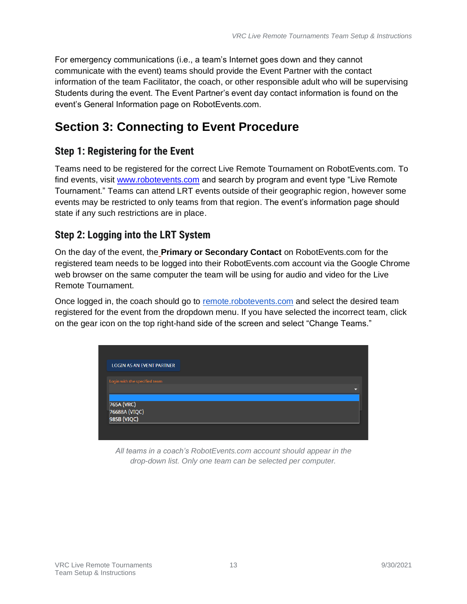For emergency communications (i.e., a team's Internet goes down and they cannot communicate with the event) teams should provide the Event Partner with the contact information of the team Facilitator, the coach, or other responsible adult who will be supervising Students during the event. The Event Partner's event day contact information is found on the event's General Information page on RobotEvents.com.

# <span id="page-12-0"></span>**Section 3: Connecting to Event Procedure**

#### <span id="page-12-1"></span>**Step 1: Registering for the Event**

Teams need to be registered for the correct Live Remote Tournament on RobotEvents.com. To find events, visit www.robotevents.com and search by program and event type "Live Remote Tournament." Teams can attend LRT events outside of their geographic region, however some events may be restricted to only teams from that region. The event's information page should state if any such restrictions are in place.

## <span id="page-12-2"></span>**Step 2: Logging into the LRT System**

On the day of the event, the **Primary or Secondary Contact** on RobotEvents.com for the registered team needs to be logged into their RobotEvents.com account via the Google Chrome web browser on the same computer the team will be using for audio and video for the Live Remote Tournament.

Once logged in, the coach should go to [remote.robotevents.com](http://remote.robotevents.com/) and select the desired team registered for the event from the dropdown menu. If you have selected the incorrect team, click on the gear icon on the top right-hand side of the screen and select "Change Teams."



*All teams in a coach's RobotEvents.com account should appear in the drop-down list. Only one team can be selected per computer.*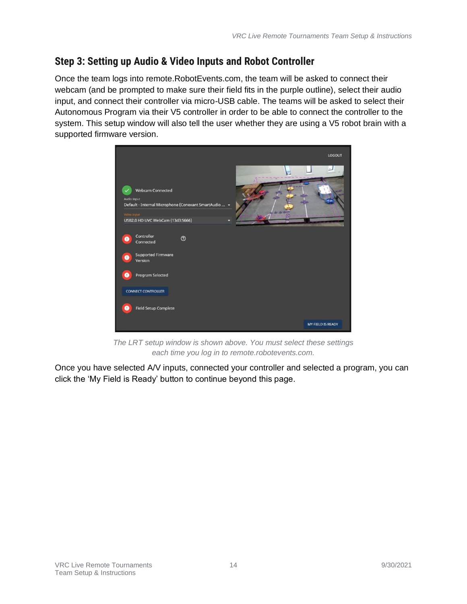## <span id="page-13-0"></span>**Step 3: Setting up Audio & Video Inputs and Robot Controller**

Once the team logs into remote.RobotEvents.com, the team will be asked to connect their webcam (and be prompted to make sure their field fits in the purple outline), select their audio input, and connect their controller via micro-USB cable. The teams will be asked to select their Autonomous Program via their V5 controller in order to be able to connect the controller to the system. This setup window will also tell the user whether they are using a V5 robot brain with a supported firmware version.



*The LRT setup window is shown above. You must select these settings each time you log in to remote.robotevents.com.*

Once you have selected A/V inputs, connected your controller and selected a program, you can click the 'My Field is Ready' button to continue beyond this page.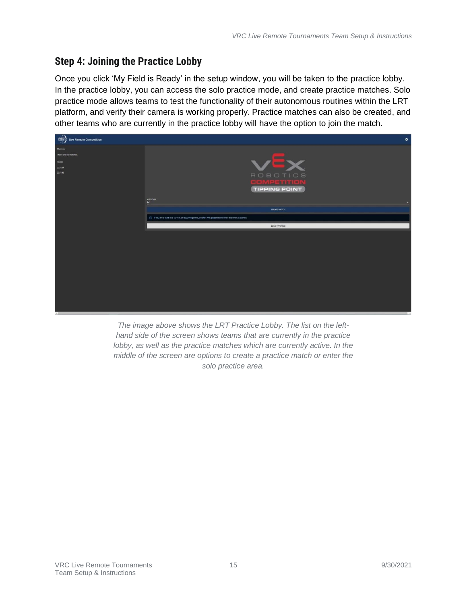#### <span id="page-14-0"></span>**Step 4: Joining the Practice Lobby**

Once you click 'My Field is Ready' in the setup window, you will be taken to the practice lobby. In the practice lobby, you can access the solo practice mode, and create practice matches. Solo practice mode allows teams to test the functionality of their autonomous routines within the LRT platform, and verify their camera is working properly. Practice matches can also be created, and other teams who are currently in the practice lobby will have the option to join the match.



*The image above shows the LRT Practice Lobby. The list on the lefthand side of the screen shows teams that are currently in the practice lobby, as well as the practice matches which are currently active. In the middle of the screen are options to create a practice match or enter the solo practice area.*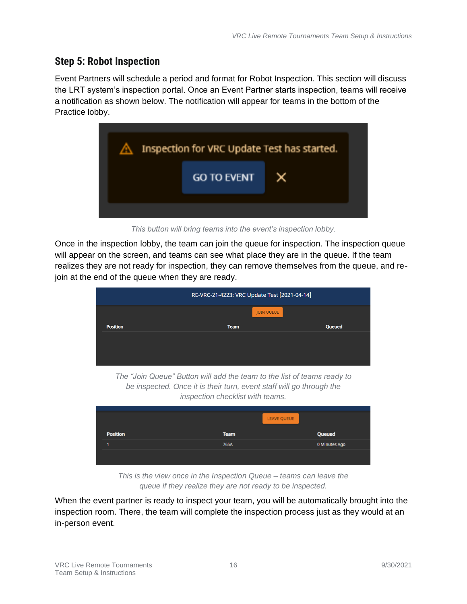#### <span id="page-15-0"></span>**Step 5: Robot Inspection**

Event Partners will schedule a period and format for Robot Inspection. This section will discuss the LRT system's inspection portal. Once an Event Partner starts inspection, teams will receive a notification as shown below. The notification will appear for teams in the bottom of the Practice lobby.



*This button will bring teams into the event's inspection lobby.* 

Once in the inspection lobby, the team can join the queue for inspection. The inspection queue will appear on the screen, and teams can see what place they are in the queue. If the team realizes they are not ready for inspection, they can remove themselves from the queue, and rejoin at the end of the queue when they are ready.



*The "Join Queue" Button will add the team to the list of teams ready to be inspected. Once it is their turn, event staff will go through the inspection checklist with teams.* 

|                 |             | LEAVE QUEUE |               |
|-----------------|-------------|-------------|---------------|
| <b>Position</b> | <b>Team</b> |             | Queued        |
|                 | 765A        |             | 0 Minutes Ago |
|                 |             |             |               |
|                 |             |             |               |

*This is the view once in the Inspection Queue – teams can leave the queue if they realize they are not ready to be inspected.*

When the event partner is ready to inspect your team, you will be automatically brought into the inspection room. There, the team will complete the inspection process just as they would at an in-person event.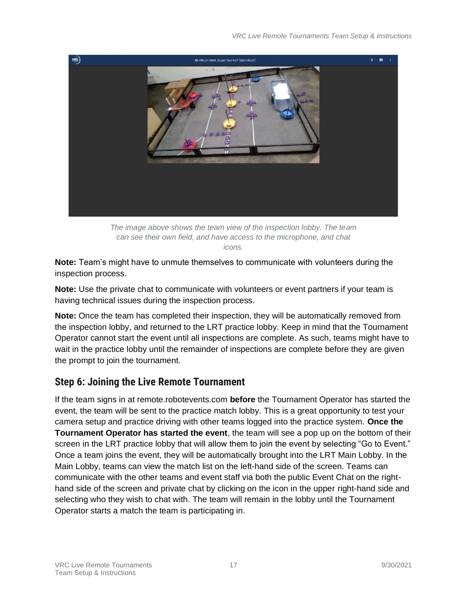

*The image above shows the team view of the inspection lobby. The team can see their own field, and have access to the microphone, and chat icons.*

**Note:** Team's might have to unmute themselves to communicate with volunteers during the inspection process.

**Note:** Use the private chat to communicate with volunteers or event partners if your team is having technical issues during the inspection process.

**Note:** Once the team has completed their inspection, they will be automatically removed from the inspection lobby, and returned to the LRT practice lobby. Keep in mind that the Tournament Operator cannot start the event until all inspections are complete. As such, teams might have to wait in the practice lobby until the remainder of inspections are complete before they are given the prompt to join the tournament.

#### <span id="page-16-0"></span>**Step 6: Joining the Live Remote Tournament**

If the team signs in at remote.robotevents.com **before** the Tournament Operator has started the event, the team will be sent to the practice match lobby. This is a great opportunity to test your camera setup and practice driving with other teams logged into the practice system. **Once the Tournament Operator has started the event**, the team will see a pop up on the bottom of their screen in the LRT practice lobby that will allow them to join the event by selecting "Go to Event." Once a team joins the event, they will be automatically brought into the LRT Main Lobby. In the Main Lobby, teams can view the match list on the left-hand side of the screen. Teams can communicate with the other teams and event staff via both the public Event Chat on the righthand side of the screen and private chat by clicking on the icon in the upper right-hand side and selecting who they wish to chat with. The team will remain in the lobby until the Tournament Operator starts a match the team is participating in.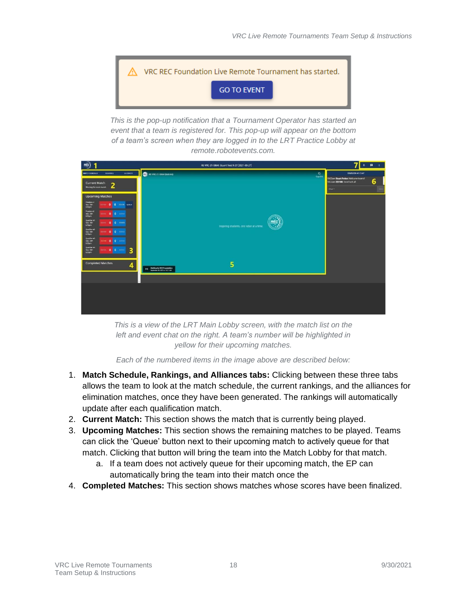

*This is the pop-up notification that a Tournament Operator has started an event that a team is registered for. This pop-up will appear on the bottom of a team's screen when they are logged in to the LRT Practice Lobby at remote.robotevents.com.*



*This is a view of the LRT Main Lobby screen, with the match list on the left and event chat on the right. A team's number will be highlighted in yellow for their upcoming matches.*

*Each of the numbered items in the image above are described below:*

- 1. **Match Schedule, Rankings, and Alliances tabs:** Clicking between these three tabs allows the team to look at the match schedule, the current rankings, and the alliances for elimination matches, once they have been generated. The rankings will automatically update after each qualification match.
- 2. **Current Match:** This section shows the match that is currently being played.
- 3. **Upcoming Matches:** This section shows the remaining matches to be played. Teams can click the 'Queue' button next to their upcoming match to actively queue for that match. Clicking that button will bring the team into the Match Lobby for that match.
	- a. If a team does not actively queue for their upcoming match, the EP can automatically bring the team into their match once the
- 4. **Completed Matches:** This section shows matches whose scores have been finalized.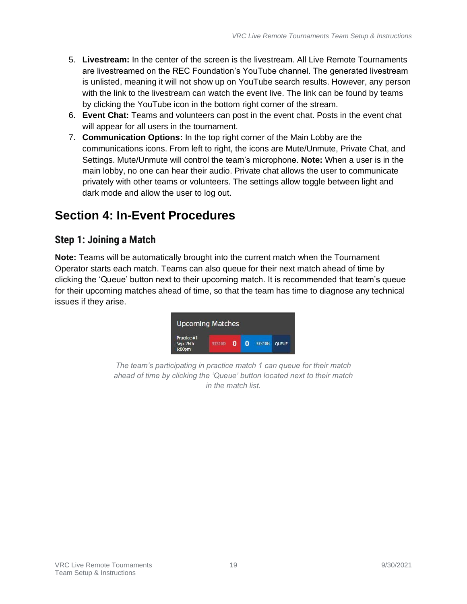- 5. **Livestream:** In the center of the screen is the livestream. All Live Remote Tournaments are livestreamed on the REC Foundation's YouTube channel. The generated livestream is unlisted, meaning it will not show up on YouTube search results. However, any person with the link to the livestream can watch the event live. The link can be found by teams by clicking the YouTube icon in the bottom right corner of the stream.
- 6. **Event Chat:** Teams and volunteers can post in the event chat. Posts in the event chat will appear for all users in the tournament.
- 7. **Communication Options:** In the top right corner of the Main Lobby are the communications icons. From left to right, the icons are Mute/Unmute, Private Chat, and Settings. Mute/Unmute will control the team's microphone. **Note:** When a user is in the main lobby, no one can hear their audio. Private chat allows the user to communicate privately with other teams or volunteers. The settings allow toggle between light and dark mode and allow the user to log out.

## <span id="page-18-0"></span>**Section 4: In-Event Procedures**

#### <span id="page-18-1"></span>**Step 1: Joining a Match**

**Note:** Teams will be automatically brought into the current match when the Tournament Operator starts each match. Teams can also queue for their next match ahead of time by clicking the 'Queue' button next to their upcoming match. It is recommended that team's queue for their upcoming matches ahead of time, so that the team has time to diagnose any technical issues if they arise.



*The team's participating in practice match 1 can queue for their match ahead of time by clicking the 'Queue' button located next to their match in the match list.*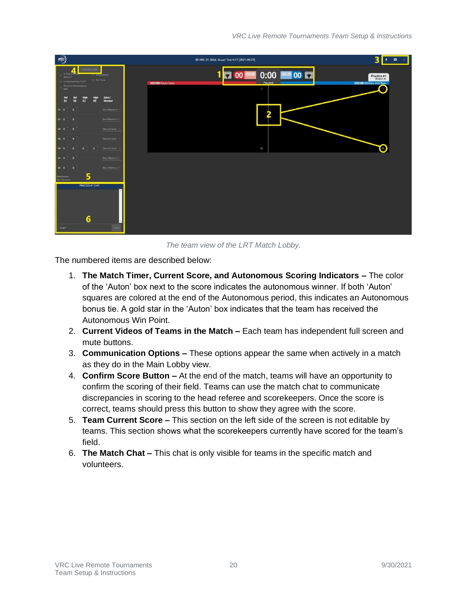| $rac{1}{\sqrt{2}}$                                                                                                                          | RE-VRC-21-5864: Stuart Test 9-27 [2021-09-27]                                    | 3<br>● ■ 1                                  |
|---------------------------------------------------------------------------------------------------------------------------------------------|----------------------------------------------------------------------------------|---------------------------------------------|
| <b>CONFIRMACIÓN</b><br>4.<br>Is Autonom<br><b>Dequalified</b><br>Winner?<br>No Show<br>Is Autonomium TierD<br>Receives Autonomous<br>WP?    | 1 00 33302 0:00 33302 00 0<br>Paused<br>33310D Eagle Eyes<br>$\overline{\Omega}$ | Practice #1<br>33310B Kibbles and Bots<br>O |
| Zone /<br>Std<br>Std<br>$\begin{bmatrix} Hgh \\ h \end{bmatrix}$<br><b>High</b><br>$\overline{(\mathbf{R})}$<br>$\omega$<br>(R)<br>Elevated |                                                                                  |                                             |
| R1 0 0<br>Red Alliance Z .                                                                                                                  |                                                                                  |                                             |
| R2 0<br>Red Alliance Z -<br>$\overline{\phantom{a}}$                                                                                        |                                                                                  |                                             |
| $\overline{\phantom{a}}$<br>Neutral Zone<br>NI 0                                                                                            |                                                                                  |                                             |
| Neutral Zone<br>N2 0<br>$\overline{0}$                                                                                                      |                                                                                  |                                             |
| Neutral Zone<br>$\Omega$<br><b>N3</b><br>n<br>- 6                                                                                           | 400                                                                              | O                                           |
| Blue Alliance Z -<br>$\overline{\mathbf{0}}$<br>61 0                                                                                        |                                                                                  |                                             |
| $\overline{\mathbf{0}}$<br><b>Blue Alliance Z -</b><br>82 0                                                                                 |                                                                                  |                                             |
| 5<br><b>Robot Ponition</b><br>Not Elevated                                                                                                  |                                                                                  |                                             |
| <b>PRACTICE #1 CHAT</b>                                                                                                                     |                                                                                  |                                             |
| $6\phantom{1}$                                                                                                                              |                                                                                  |                                             |
| Chat <sup>*</sup>                                                                                                                           |                                                                                  |                                             |

*The team view of the LRT Match Lobby.* 

The numbered items are described below:

- 1. **The Match Timer, Current Score, and Autonomous Scoring Indicators –** The color of the 'Auton' box next to the score indicates the autonomous winner. If both 'Auton' squares are colored at the end of the Autonomous period, this indicates an Autonomous bonus tie. A gold star in the 'Auton' box indicates that the team has received the Autonomous Win Point.
- 2. **Current Videos of Teams in the Match –** Each team has independent full screen and mute buttons.
- 3. **Communication Options –** These options appear the same when actively in a match as they do in the Main Lobby view.
- 4. **Confirm Score Button –** At the end of the match, teams will have an opportunity to confirm the scoring of their field. Teams can use the match chat to communicate discrepancies in scoring to the head referee and scorekeepers. Once the score is correct, teams should press this button to show they agree with the score.
- 5. **Team Current Score –** This section on the left side of the screen is not editable by teams. This section shows what the scorekeepers currently have scored for the team's field.
- 6. **The Match Chat –** This chat is only visible for teams in the specific match and volunteers.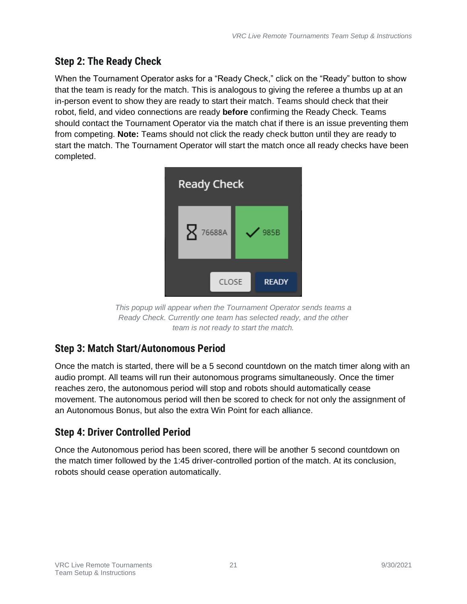#### <span id="page-20-0"></span>**Step 2: The Ready Check**

When the Tournament Operator asks for a "Ready Check," click on the "Ready" button to show that the team is ready for the match. This is analogous to giving the referee a thumbs up at an in-person event to show they are ready to start their match. Teams should check that their robot, field, and video connections are ready **before** confirming the Ready Check. Teams should contact the Tournament Operator via the match chat if there is an issue preventing them from competing. **Note:** Teams should not click the ready check button until they are ready to start the match. The Tournament Operator will start the match once all ready checks have been completed.



*This popup will appear when the Tournament Operator sends teams a Ready Check. Currently one team has selected ready, and the other team is not ready to start the match.* 

## <span id="page-20-1"></span>**Step 3: Match Start/Autonomous Period**

Once the match is started, there will be a 5 second countdown on the match timer along with an audio prompt. All teams will run their autonomous programs simultaneously. Once the timer reaches zero, the autonomous period will stop and robots should automatically cease movement. The autonomous period will then be scored to check for not only the assignment of an Autonomous Bonus, but also the extra Win Point for each alliance.

## <span id="page-20-2"></span>**Step 4: Driver Controlled Period**

Once the Autonomous period has been scored, there will be another 5 second countdown on the match timer followed by the 1:45 driver-controlled portion of the match. At its conclusion, robots should cease operation automatically.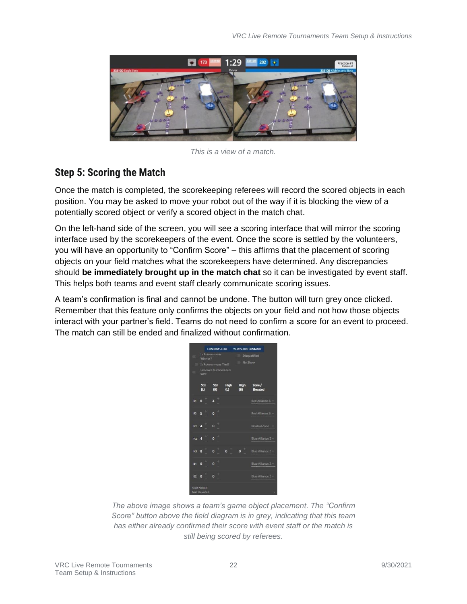

*This is a view of a match.*

#### <span id="page-21-0"></span>**Step 5: Scoring the Match**

Once the match is completed, the scorekeeping referees will record the scored objects in each position. You may be asked to move your robot out of the way if it is blocking the view of a potentially scored object or verify a scored object in the match chat.

On the left-hand side of the screen, you will see a scoring interface that will mirror the scoring interface used by the scorekeepers of the event. Once the score is settled by the volunteers, you will have an opportunity to "Confirm Score" – this affirms that the placement of scoring objects on your field matches what the scorekeepers have determined. Any discrepancies should **be immediately brought up in the match chat** so it can be investigated by event staff. This helps both teams and event staff clearly communicate scoring issues.

A team's confirmation is final and cannot be undone. The button will turn grey once clicked. Remember that this feature only confirms the objects on your field and not how those objects interact with your partner's field. Teams do not need to confirm a score for an event to proceed. The match can still be ended and finalized without confirmation.

|              | Winner?                           | <b>Is Autonomous</b><br>Is Autonomous Tied? |                  |                    | <b>Disqualified</b><br>No Show |  |
|--------------|-----------------------------------|---------------------------------------------|------------------|--------------------|--------------------------------|--|
|              | <b>Receives Autonomous</b><br>WP? |                                             |                  |                    |                                |  |
|              | Std<br>$\omega$                   | Std<br>(R)                                  | High<br>$\omega$ | <b>High</b><br>(R) | Zone /<br>Elevated             |  |
| R1           | $\Omega$                          | a                                           |                  |                    | Red Alliance Z                 |  |
| R2 5         |                                   | $\bf{0}$                                    |                  |                    | Red Alliance Z                 |  |
| $N1$ 4       | t                                 | $\ddot{}$<br>$\overline{0}$                 |                  |                    | Neutral Zone                   |  |
| $N2 \quad 4$ |                                   | f<br>$\mathbf{0}$                           |                  |                    | Blue Alliance Z =              |  |
| N3           | 0                                 | ł<br>$\overline{0}$                         | $\bf{0}$         | ٢<br>$\mathbf{0}$  | <b>Blue Alliance 2</b>         |  |
| <b>B1</b>    | $\overline{\mathbf{0}}$           | t<br>$\overline{0}$                         |                  |                    | Blue Alliance Z =              |  |
| B2           | $\mathbf{0}$                      | $\ddot{}$<br>$\mathbf{0}$                   |                  |                    | <b>Blue Alliance 2 -</b>       |  |

*The above image shows a team's game object placement. The "Confirm Score" button above the field diagram is in grey, indicating that this team has either already confirmed their score with event staff or the match is still being scored by referees.*